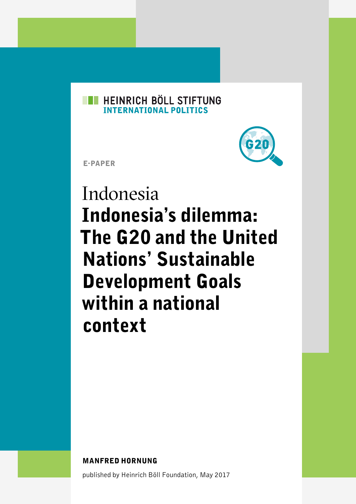#### **EXPERIENCH BÖLL STIFTUNG INTERNATIONAL POLITICS**



E-PAPER

# Indonesia Indonesia's dilemma: The G20 and the United Nations' Sustainable Development Goals within a national context

MANFRED HORNUNG

published by Heinrich Böll Foundation, May 2017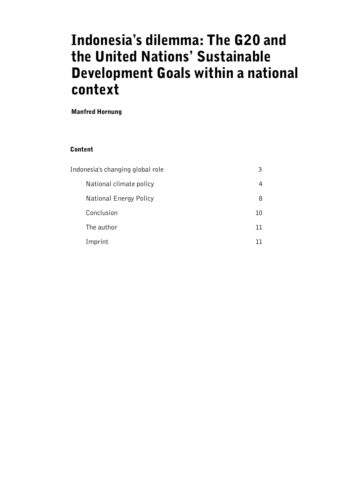# Indonesia's dilemma: The G20 and the United Nations' Sustainable Development Goals within a national context

Manfred Hornung

#### Content

| Indonesia's changing global role | 3   |
|----------------------------------|-----|
| National climate policy          | 4   |
| National Energy Policy           | 8   |
| Conclusion                       | 10  |
| The author                       | וו  |
| Imprint                          | ר ר |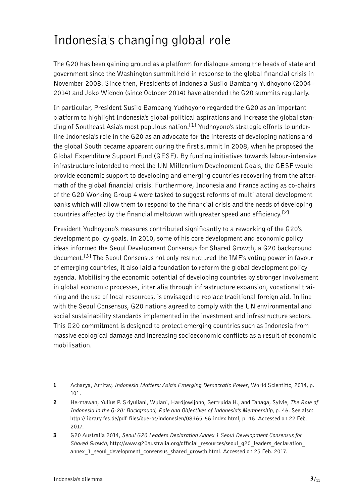## <span id="page-2-0"></span>Indonesia's changing global role

The G20 has been gaining ground as a platform for dialogue among the heads of state and government since the Washington summit held in response to the global financial crisis in November 2008. Since then, Presidents of Indonesia Susilo Bambang Yudhoyono (2004– 2014) and Joko Widodo (since October 2014) have attended the G20 summits regularly.

In particular, President Susilo Bambang Yudhoyono regarded the G20 as an important platform to highlight Indonesia's global-political aspirations and increase the global standing of Southeast Asia's most populous nation.<sup>[1]</sup> Yudhoyono's strategic efforts to underline Indonesia's role in the G20 as an advocate for the interests of developing nations and the global South became apparent during the first summit in 2008, when he proposed the Global Expenditure Support Fund (GESF). By funding initiatives towards labour-intensive infrastructure intended to meet the UN Millennium Development Goals, the GESF would provide economic support to developing and emerging countries recovering from the aftermath of the global financial crisis. Furthermore, Indonesia and France acting as co-chairs of the G20 Working Group 4 were tasked to suggest reforms of multilateral development banks which will allow them to respond to the financial crisis and the needs of developing countries affected by the financial meltdown with greater speed and efficiency.<sup>[2]</sup>

President Yudhoyono's measures contributed significantly to a reworking of the G20's development policy goals. In 2010, some of his core development and economic policy ideas informed the Seoul Development Consensus for Shared Growth, a G20 background document.<sup>[3]</sup> The Seoul Consensus not only restructured the IMF's voting power in favour of emerging countries, it also laid a foundation to reform the global development policy agenda. Mobilising the economic potential of developing countries by stronger involvement in global economic processes, inter alia through infrastructure expansion, vocational training and the use of local resources, is envisaged to replace traditional foreign aid. In line with the Seoul Consensus, G20 nations agreed to comply with the UN environmental and social sustainability standards implemented in the investment and infrastructure sectors. This G20 commitment is designed to protect emerging countries such as Indonesia from massive ecological damage and increasing socioeconomic conflicts as a result of economic mobilisation.

- 1 Acharya, Amitav, *Indonesia Matters: Asia's Emerging Democratic Power*, World Scientific, 2014, p. 101.
- 2 Hermawan, Yulius P. Sriyuliani, Wulani, Hardjowijono, Gertruida H., and Tanaga, Sylvie, *The Role of Indonesia in the G-20: Background, Role and Objectives of Indonesia's Membership*, p. 46. See also: [http://library.fes.de/pdf-files/bueros/indonesien/08365-66-index.html, p. 46. Accessed on 22 Feb.](http://library.fes.de/pdf-files/bueros/indonesien/08365-66-index.html, p. 46. Accessed on 22 Feb. 2017)  [2017.](http://library.fes.de/pdf-files/bueros/indonesien/08365-66-index.html, p. 46. Accessed on 22 Feb. 2017)
- 3 G20 Australia 2014, *Seoul G20 Leaders Declaration Annex 1 Seoul Development Consensus for*  Shared Growth, http://www.g20australia.org/official\_resources/seoul\_g20\_leaders\_declaration [annex\\_1\\_seoul\\_development\\_consensus\\_shared\\_growth.html](http://www.g20australia.org/official_resources/seoul_g20_leaders_declaration_annex_1_seoul_development_consensus_shared_growth.html). Accessed on 25 Feb. 2017.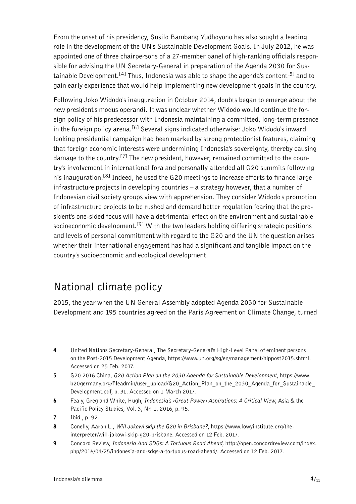<span id="page-3-0"></span>From the onset of his presidency, Susilo Bambang Yudhoyono has also sought a leading role in the development of the UN's Sustainable Development Goals. In July 2012, he was appointed one of three chairpersons of a 27-member panel of high-ranking officials responsible for advising the UN Secretary-General in preparation of the Agenda 2030 for Sustainable Development.<sup>[4]</sup> Thus, Indonesia was able to shape the agenda's content<sup>[5]</sup> and to gain early experience that would help implementing new development goals in the country.

Following Joko Widodo's inauguration in October 2014, doubts began to emerge about the new president's modus operandi. It was unclear whether Widodo would continue the foreign policy of his predecessor with Indonesia maintaining a committed, long-term presence in the foreign policy arena.<sup>[6]</sup> Several signs indicated otherwise: Joko Widodo's inward looking presidential campaign had been marked by strong protectionist features, claiming that foreign economic interests were undermining Indonesia's sovereignty, thereby causing damage to the country.<sup>[7]</sup> The new president, however, remained committed to the country's involvement in international fora and personally attended all G20 summits following his inauguration.<sup>[8]</sup> Indeed, he used the G20 meetings to increase efforts to finance large infrastructure projects in developing countries – a strategy however, that a number of Indonesian civil society groups view with apprehension. They consider Widodo's promotion of infrastructure projects to be rushed and demand better regulation fearing that the president's one-sided focus will have a detrimental effect on the environment and sustainable socioeconomic development.<sup>[9]</sup> With the two leaders holding differing strategic positions and levels of personal commitment with regard to the G20 and the UN the question arises whether their international engagement has had a significant and tangible impact on the country's socioeconomic and ecological development.

#### National climate policy

2015, the year when the UN General Assembly adopted Agenda 2030 for Sustainable Development and 195 countries agreed on the Paris Agreement on Climate Change, turned

- 4 United Nations Secretary-General, The Secretary-General's High-Level Panel of eminent persons on the Post-2015 Development Agenda,<https://www.un.org/sg/en/management/hlppost2015.shtml>. Accessed on 25 Feb. 2017.
- 5 G20 2016 China, *G20 Action Plan on the 2030 Agenda for Sustainable Development*, [https://www.](https://www.b20germany.org/fileadmin/user_upload/G20_Action_Plan_on_the_2030_Agenda_for_Sustainable_Development.pdf) b20germany.org/fileadmin/user\_upload/G20\_Action\_Plan\_on\_the\_2030\_Agenda\_for\_Sustainable [Development.pdf](https://www.b20germany.org/fileadmin/user_upload/G20_Action_Plan_on_the_2030_Agenda_for_Sustainable_Development.pdf), p. 31. Accessed on 1 March 2017.
- 6 Fealy, Greg and White, Hugh, *Indonesia's ‹Great Power› Aspirations: A Critical View*, Asia & the Pacific Policy Studies, Vol. 3, Nr. 1, 2016, p. 95.
- 7 Ibid., p. 92.
- 8 Conelly, Aaron L., *Will Jokowi skip the G20 in Brisbane?*, [https://www.lowyinstitute.org/the](https://www.lowyinstitute.org/the-interpreter/will-jokowi-skip-g20-brisbane)[interpreter/will-jokowi-skip-g20-brisbane](https://www.lowyinstitute.org/the-interpreter/will-jokowi-skip-g20-brisbane). Accessed on 12 Feb. 2017.
- 9 Concord Review, *Indonesia And SDGs: A Tortuous Road Ahead*, [http://open.concordreview.com/index.](http://open.concordreview.com/index.php/2016/04/25/indonesia-and-sdgs-a-tortuous-road-ahead/) [php/2016/04/25/indonesia-and-sdgs-a-tortuous-road-ahead/](http://open.concordreview.com/index.php/2016/04/25/indonesia-and-sdgs-a-tortuous-road-ahead/). Accessed on 12 Feb. 2017.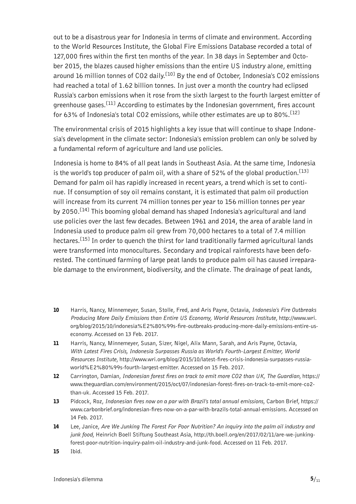out to be a disastrous year for Indonesia in terms of climate and environment. According to the World Resources Institute, the Global Fire Emissions Database recorded a total of 127,000 fires within the first ten months of the year. In 38 days in September and October 2015, the blazes caused higher emissions than the entire US industry alone, emitting around 16 million tonnes of CO2 daily.<sup>[10]</sup> By the end of October, Indonesia's CO2 emissions had reached a total of 1.62 billion tonnes. In just over a month the country had eclipsed Russia's carbon emissions when it rose from the sixth largest to the fourth largest emitter of greenhouse gases.<sup>[11]</sup> According to estimates by the Indonesian government, fires account for 63% of Indonesia's total CO2 emissions, while other estimates are up to 80%.<sup>[12]</sup>

The environmental crisis of 2015 highlights a key issue that will continue to shape Indonesia's development in the climate sector: Indonesia's emission problem can only be solved by a fundamental reform of agriculture and land use policies.

Indonesia is home to 84% of all peat lands in Southeast Asia. At the same time, Indonesia is the world's top producer of palm oil, with a share of 52% of the global production.<sup>[13]</sup> Demand for palm oil has rapidly increased in recent years, a trend which is set to continue. If consumption of soy oil remains constant, it is estimated that palm oil production will increase from its current 74 million tonnes per year to 156 million tonnes per year by 2050.<sup>[14]</sup> This booming global demand has shaped Indonesia's agricultural and land use policies over the last few decades. Between 1961 and 2014, the area of arable land in Indonesia used to produce palm oil grew from 70,000 hectares to a total of 7.4 million hectares.<sup>[15]</sup> In order to quench the thirst for land traditionally farmed agricultural lands were transformed into monocultures. Secondary and tropical rainforests have been deforested. The continued farming of large peat lands to produce palm oil has caused irreparable damage to the environment, biodiversity, and the climate. The drainage of peat lands,

- 10 Harris, Nancy, Minnemeyer, Susan, Stolle, Fred, and Aris Payne, Octavia, *Indonesia's Fire Outbreaks Producing More Daily Emissions than Entire US Economy, World Resources Institute*, [http://www.wri.](http://www.wri.org/blog/2015/10/indonesia%E2%80%99s-fire-outbreaks-producing-more-daily-emissions-entire-us-economy) [org/blog/2015/10/indonesia%E2%80%99s-fire-outbreaks-producing-more-daily-emissions-entire-us](http://www.wri.org/blog/2015/10/indonesia%E2%80%99s-fire-outbreaks-producing-more-daily-emissions-entire-us-economy)[economy.](http://www.wri.org/blog/2015/10/indonesia%E2%80%99s-fire-outbreaks-producing-more-daily-emissions-entire-us-economy) Accessed on 13 Feb. 2017.
- 11 Harris, Nancy, Minnemeyer, Susan, Sizer, Nigel, Alix Mann, Sarah, and Aris Payne, Octavia, *With Latest Fires Crisis, Indonesia Surpasses Russia as World's Fourth-Largest Emitter, World Resources Institute*, [http://www.wri.org/blog/2015/10/latest-fires-crisis-indonesia-surpasses-russia](http://www.wri.org/blog/2015/10/latest-fires-crisis-indonesia-surpasses-russia-world%E2%80%99s-fourth-largest-emitter)[world%E2%80%99s-fourth-largest-emitter](http://www.wri.org/blog/2015/10/latest-fires-crisis-indonesia-surpasses-russia-world%E2%80%99s-fourth-largest-emitter). Accessed on 15 Feb. 2017.
- 12 Carrington, Damian, *Indonesian forest fires on track to emit more CO2 than UK, The Guardian*, [https://](https://www.theguardian.com/environment/2015/oct/07/indonesian-forest-fires-on-track-to-emit-more-co2-than-uk) [www.theguardian.com/environment/2015/oct/07/indonesian-forest-fires-on-track-to-emit-more-co2](https://www.theguardian.com/environment/2015/oct/07/indonesian-forest-fires-on-track-to-emit-more-co2-than-uk) [than-uk](https://www.theguardian.com/environment/2015/oct/07/indonesian-forest-fires-on-track-to-emit-more-co2-than-uk). Accessed 15 Feb. 2017.
- 13 Pidcock, Roz, *Indonesian fires now on a par with Brazil's total annual emissions*, Carbon Brief, [https://](https://www.carbonbrief.org/indonesian-fires-now-on-a-par-with-brazils-total-annual-emissions) [www.carbonbrief.org/indonesian-fires-now-on-a-par-with-brazils-total-annual-emissions.](https://www.carbonbrief.org/indonesian-fires-now-on-a-par-with-brazils-total-annual-emissions) Accessed on 14 Feb. 2017.
- 14 Lee, Janice, *Are We Junking The Forest For Poor Nutrition? An inquiry into the palm oil industry and junk food*, Heinrich Boell Stiftung Southeast Asia, [http://th.boell.org/en/2017/02/11/are-we-junking](http://th.boell.org/en/2017/02/11/are-we-junking-forest-poor-nutrition-inquiry-palm-oil-industry-and-junk-food)[forest-poor-nutrition-inquiry-palm-oil-industry-and-junk-food](http://th.boell.org/en/2017/02/11/are-we-junking-forest-poor-nutrition-inquiry-palm-oil-industry-and-junk-food). Accessed on 11 Feb. 2017.
- 15 Ibid.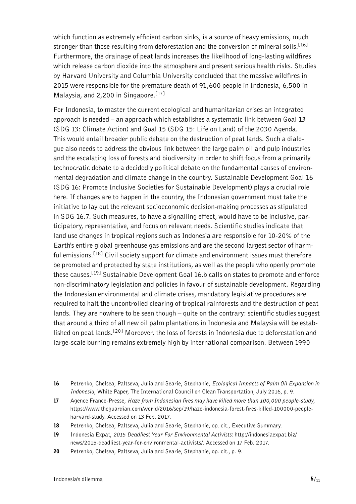which function as extremely efficient carbon sinks, is a source of heavy emissions, much stronger than those resulting from deforestation and the conversion of mineral soils.<sup>[16]</sup> Furthermore, the drainage of peat lands increases the likelihood of long-lasting wildfires which release carbon dioxide into the atmosphere and present serious health risks. Studies by Harvard University and Columbia University concluded that the massive wildfires in 2015 were responsible for the premature death of 91,600 people in Indonesia, 6,500 in Malaysia, and 2,200 in Singapore.<sup>[17]</sup>

For Indonesia, to master the current ecological and humanitarian crises an integrated approach is needed – an approach which establishes a systematic link between Goal 13 (SDG 13: Climate Action) and Goal 15 (SDG 15: Life on Land) of the 2030 Agenda. This would entail broader public debate on the destruction of peat lands. Such a dialogue also needs to address the obvious link between the large palm oil and pulp industries and the escalating loss of forests and biodiversity in order to shift focus from a primarily technocratic debate to a decidedly political debate on the fundamental causes of environmental degradation and climate change in the country. Sustainable Development Goal 16 (SDG 16: Promote Inclusive Societies for Sustainable Development) plays a crucial role here. If changes are to happen in the country, the Indonesian government must take the initiative to lay out the relevant socioeconomic decision-making processes as stipulated in SDG 16.7. Such measures, to have a signalling effect, would have to be inclusive, participatory, representative, and focus on relevant needs. Scientific studies indicate that land use changes in tropical regions such as Indonesia are responsible for 10-20% of the Earth's entire global greenhouse gas emissions and are the second largest sector of harmful emissions.<sup>[18]</sup> Civil society support for climate and environment issues must therefore be promoted and protected by state institutions, as well as the people who openly promote these causes.<sup>[19]</sup> Sustainable Development Goal 16.b calls on states to promote and enforce non-discriminatory legislation and policies in favour of sustainable development. Regarding the Indonesian environmental and climate crises, mandatory legislative procedures are required to halt the uncontrolled clearing of tropical rainforests and the destruction of peat lands. They are nowhere to be seen though – quite on the contrary: scientific studies suggest that around a third of all new oil palm plantations in Indonesia and Malaysia will be established on peat lands.<sup>[20]</sup> Moreover, the loss of forests in Indonesia due to deforestation and large-scale burning remains extremely high by international comparison. Between 1990

- 17 Agence France-Presse, *Haze from Indonesian fires may have killed more than 100,000 people-study*, [https://www.theguardian.com/world/2016/sep/19/haze-indonesia-forest-fires-killed-100000-people](https://www.theguardian.com/world/2016/sep/19/haze-indonesia-forest-fires-killed-100000-people-harvard-study)[harvard-study](https://www.theguardian.com/world/2016/sep/19/haze-indonesia-forest-fires-killed-100000-people-harvard-study). Accessed on 13 Feb. 2017.
- 18 Petrenko, Chelsea, Paltseva, Julia and Searie, Stephanie, op. cit., Executive Summary.
- 19 Indonesia Expat, *2015 Deadliest Year For Environmental Activists*: [http://indonesiaexpat.biz/](http://indonesiaexpat.biz/news/2015-deadliest-year-for-environmental-activists/) [news/2015-deadliest-year-for-environmental-activists/](http://indonesiaexpat.biz/news/2015-deadliest-year-for-environmental-activists/). Accessed on 17 Feb. 2017.
- 20 Petrenko, Chelsea, Paltseva, Julia and Searie, Stephanie, op. cit., p. 9.

<sup>16</sup> Petrenko, Chelsea, Paltseva, Julia and Searie, Stephanie, *Ecological Impacts of Palm Oil Expansion in Indonesia*, White Paper, The International Council on Clean Transportation, July 2016, p. 9.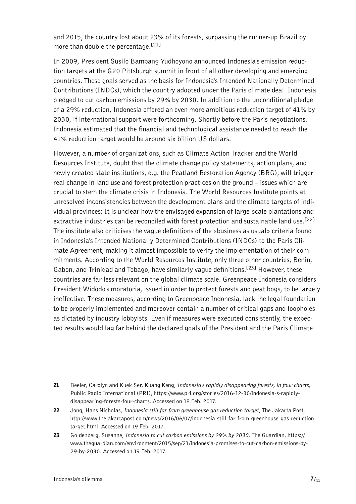and 2015, the country lost about 23% of its forests, surpassing the runner-up Brazil by more than double the percentage.<sup>[21]</sup>

In 2009, President Susilo Bambang Yudhoyono announced Indonesia's emission reduction targets at the G20 Pittsburgh summit in front of all other developing and emerging countries. These goals served as the basis for Indonesia's Intended Nationally Determined Contributions (INDCs), which the country adopted under the Paris climate deal. Indonesia pledged to cut carbon emissions by 29% by 2030. In addition to the unconditional pledge of a 29% reduction, Indonesia offered an even more ambitious reduction target of 41% by 2030, if international support were forthcoming. Shortly before the Paris negotiations, Indonesia estimated that the financial and technological assistance needed to reach the 41% reduction target would be around six billion US dollars.

However, a number of organizations, such as Climate Action Tracker and the World Resources Institute, doubt that the climate change policy statements, action plans, and newly created state institutions, e.g. the Peatland Restoration Agency (BRG), will trigger real change in land use and forest protection practices on the ground – issues which are crucial to stem the climate crisis in Indonesia. The World Resources Institute points at unresolved inconsistencies between the development plans and the climate targets of individual provinces: It is unclear how the envisaged expansion of large-scale plantations and extractive industries can be reconciled with forest protection and sustainable land use.<sup>[22]</sup> The institute also criticises the vague definitions of the «business as usual» criteria found in Indonesia's Intended Nationally Determined Contributions (INDCs) to the Paris Climate Agreement, making it almost impossible to verify the implementation of their commitments. According to the World Resources Institute, only three other countries, Benin, Gabon, and Trinidad and Tobago, have similarly vague definitions.<sup>[23]</sup> However, these countries are far less relevant on the global climate scale. Greenpeace Indonesia considers President Widodo's moratoria, issued in order to protect forests and peat bogs, to be largely ineffective. These measures, according to Greenpeace Indonesia, lack the legal foundation to be properly implemented and moreover contain a number of critical gaps and loopholes as dictated by industry lobbyists. Even if measures were executed consistently, the expected results would lag far behind the declared goals of the President and the Paris Climate

- 21 Beeler, Carolyn and Kuek Ser, Kuang Keng, *Indonesia's rapidly disappearing forests, in four charts*, Public Radio International (PRI), [https://www.pri.org/stories/2016-12-30/indonesia-s-rapidly](https://www.pri.org/stories/2016-12-30/indonesia-s-rapidly-disappearing-forests-four-charts)[disappearing-forests-four-charts](https://www.pri.org/stories/2016-12-30/indonesia-s-rapidly-disappearing-forests-four-charts). Accessed on 18 Feb. 2017.
- 22 Jong, Hans Nicholas, *Indonesia still far from greenhouse gas reduction target*, The Jakarta Post, [http://www.thejakartapost.com/news/2016/06/07/indonesia-still-far-from-greenhouse-gas-reduction](http://www.thejakartapost.com/news/2016/06/07/indonesia-still-far-from-greenhouse-gas-reduction-target.html)[target.html](http://www.thejakartapost.com/news/2016/06/07/indonesia-still-far-from-greenhouse-gas-reduction-target.html). Accessed on 19 Feb. 2017.
- 23 Goldenberg, Susanne, *Indonesia to cut carbon emissions by 29% by 2030*, The Guardian, [https://](https://www.theguardian.com/environment/2015/sep/21/indonesia-promises-to-cut-carbon-emissions-by-29-by-2030) [www.theguardian.com/environment/2015/sep/21/indonesia-promises-to-cut-carbon-emissions-by-](https://www.theguardian.com/environment/2015/sep/21/indonesia-promises-to-cut-carbon-emissions-by-29-by-2030)[29-by-2030](https://www.theguardian.com/environment/2015/sep/21/indonesia-promises-to-cut-carbon-emissions-by-29-by-2030). Accessed on 19 Feb. 2017.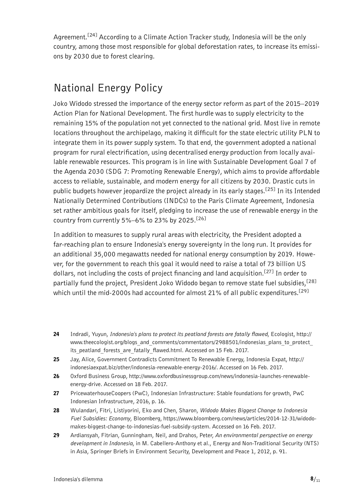<span id="page-7-0"></span>Agreement.[24] According to a Climate Action Tracker study, Indonesia will be the only country, among those most responsible for global deforestation rates, to increase its emissions by 2030 due to forest clearing.

#### National Energy Policy

Joko Widodo stressed the importance of the energy sector reform as part of the 2015–2019 Action Plan for National Development. The first hurdle was to supply electricity to the remaining 15% of the population not yet connected to the national grid. Most live in remote locations throughout the archipelago, making it difficult for the state electric utility PLN to integrate them in its power supply system. To that end, the government adopted a national program for rural electrification, using decentralised energy production from locally available renewable resources. This program is in line with Sustainable Development Goal 7 of the Agenda 2030 (SDG 7: Promoting Renewable Energy), which aims to provide affordable access to reliable, sustainable, and modern energy for all citizens by 2030. Drastic cuts in public budgets however jeopardize the project already in its early stages.<sup>[25]</sup> In its Intended Nationally Determined Contributions (INDCs) to the Paris Climate Agreement, Indonesia set rather ambitious goals for itself, pledging to increase the use of renewable energy in the country from currently 5%-6% to 23% by 2025.<sup>[26]</sup>

In addition to measures to supply rural areas with electricity, the President adopted a far-reaching plan to ensure Indonesia's energy sovereignty in the long run. It provides for an additional 35,000 megawatts needed for national energy consumption by 2019. However, for the government to reach this goal it would need to raise a total of 73 billion US dollars, not including the costs of project financing and land acquisition.<sup>[27]</sup> In order to partially fund the project, President Joko Widodo began to remove state fuel subsidies,<sup>[28]</sup> which until the mid-2000s had accounted for almost 21% of all public expenditures.<sup>[29]</sup>

- 24 Indradi, Yuyun, *Indonesia's plans to protect its peatland forests are fatally flawed*, Ecologist, [http://](http://www.theecologist.org/blogs_and_comments/commentators/2988501/indonesias_plans_to_protect_its_peatland_forests_are_fatally_flawed.html) www.theecologist.org/blogs\_and\_comments/commentators/2988501/indonesias\_plans\_to\_protect its peatland forests are fatally flawed.html. Accessed on 15 Feb. 2017.
- 25 Jay, Alice, Government Contradicts Commitment To Renewable Energy, Indonesia Expat, [http://](http://indonesiaexpat.biz/other/indonesia-renewable-energy-2016/) [indonesiaexpat.biz/other/indonesia-renewable-energy-2016/](http://indonesiaexpat.biz/other/indonesia-renewable-energy-2016/). Accessed on 16 Feb. 2017.
- 26 Oxford Business Group, [http://www.oxfordbusinessgroup.com/news/indonesia-launches-renewable](http://www.oxfordbusinessgroup.com/news/indonesia-launches-renewable-energy-drive)[energy-drive](http://www.oxfordbusinessgroup.com/news/indonesia-launches-renewable-energy-drive). Accessed on 18 Feb. 2017.
- 27 PricewaterhouseCoopers (PwC), Indonesian Infrastructure: Stable foundations for growth, PwC Indonesian Infrastructure, 2016, p. 16.
- 28 Wulandari, Fitri, Listiyorini, Eko and Chen, Sharon, *Widodo Makes Biggest Change to Indonesia Fuel Subsidies: Economy*, Bloomberg, [https://www.bloomberg.com/news/articles/2014-12-31/widodo](https://www.bloomberg.com/news/articles/2014-12-31/widodo-makes-biggest-change-to-indonesias-fuel-subsidy-system)[makes-biggest-change-to-indonesias-fuel-subsidy-system.](https://www.bloomberg.com/news/articles/2014-12-31/widodo-makes-biggest-change-to-indonesias-fuel-subsidy-system) Accessed on 16 Feb. 2017.
- 29 Ardiansyah, Fitrian, Gunningham, Neil, and Drahos, Peter, *An environmental perspective on energy development in Indonesia*, in M. Cabellero-Anthony et al., Energy and Non-Traditional Security (NTS) in Asia, Springer Briefs in Environment Security, Development and Peace 1, 2012, p. 91.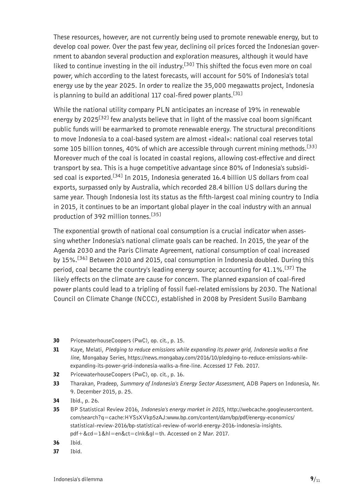These resources, however, are not currently being used to promote renewable energy, but to develop coal power. Over the past few year, declining oil prices forced the Indonesian government to abandon several production and exploration measures, although it would have liked to continue investing in the oil industry.<sup>[30]</sup> This shifted the focus even more on coal power, which according to the latest forecasts, will account for 50% of Indonesia's total energy use by the year 2025. In order to realize the 35,000 megawatts project, Indonesia is planning to build an additional 117 coal-fired power plants.<sup>[31]</sup>

While the national utility company PLN anticipates an increase of 19% in renewable energy by 2025<sup>[32]</sup> few analysts believe that in light of the massive coal boom significant public funds will be earmarked to promote renewable energy. The structural preconditions to move Indonesia to a coal-based system are almost «ideal»: national coal reserves total some 105 billion tonnes, 40% of which are accessible through current mining methods.<sup>[33]</sup> Moreover much of the coal is located in coastal regions, allowing cost-effective and direct transport by sea. This is a huge competitive advantage since 80% of Indonesia's subsidised coal is exported.<sup>[34]</sup> In 2015, Indonesia generated 16.4 billion US dollars from coal exports, surpassed only by Australia, which recorded 28.4 billion US dollars during the same year. Though Indonesia lost its status as the fifth-largest coal mining country to India in 2015, it continues to be an important global player in the coal industry with an annual production of 392 million tonnes.<sup>[35]</sup>

The exponential growth of national coal consumption is a crucial indicator when assessing whether Indonesia's national climate goals can be reached. In 2015, the year of the Agenda 2030 and the Paris Climate Agreement, national consumption of coal increased by 15%.[36] Between 2010 and 2015, coal consumption in Indonesia doubled. During this period, coal became the country's leading energy source; accounting for 41.1%.<sup>[37]</sup> The likely effects on the climate are cause for concern. The planned expansion of coal-fired power plants could lead to a tripling of fossil fuel-related emissions by 2030. The National Council on Climate Change (NCCC), established in 2008 by President Susilo Bambang

- 30 PricewaterhouseCoopers (PwC), op. cit., p. 15.
- 31 Kaye, Melati, *Pledging to reduce emissions while expanding its power grid, Indonesia walks a fine line*, Mongabay Series, [https://news.mongabay.com/2016/10/pledging-to-reduce-emissions-while](https://news.mongabay.com/2016/10/pledging-to-reduce-emissions-while-expanding-its-power-grid-indonesia-walks-a-fine-line)[expanding-its-power-grid-indonesia-walks-a-fine-line.](https://news.mongabay.com/2016/10/pledging-to-reduce-emissions-while-expanding-its-power-grid-indonesia-walks-a-fine-line) Accessed 17 Feb. 2017.
- 32 PricewaterhouseCoopers (PwC), op. cit., p. 16.
- 33 Tharakan, Pradeep, *Summary of Indonesia's Energy Sector Assessment*, ADB Papers on Indonesia, Nr. 9. December 2015, p. 25.
- 34 Ibid., p. 26.
- 35 BP Statistical Review 2016, *Indonesia's energy market in 2015*, [http://webcache.googleusercontent.](http://webcache.googleusercontent.com/search?q=cache:HYSsXVkp5zAJ:www.bp.com/content/dam/bp/pdf/energy-economics/statistical-review-2016/bp-statistical-review-of-world-energy-2016-indonesia-insights.pdf+&cd=1&hl=en&ct=clnk&gl=th) [com/search?q=cache:HYSsXVkp5zAJ:www.bp.com/content/dam/bp/pdf/energy-economics/](http://webcache.googleusercontent.com/search?q=cache:HYSsXVkp5zAJ:www.bp.com/content/dam/bp/pdf/energy-economics/statistical-review-2016/bp-statistical-review-of-world-energy-2016-indonesia-insights.pdf+&cd=1&hl=en&ct=clnk&gl=th) [statistical-review-2016/bp-statistical-review-of-world-energy-2016-indonesia-insights.](http://webcache.googleusercontent.com/search?q=cache:HYSsXVkp5zAJ:www.bp.com/content/dam/bp/pdf/energy-economics/statistical-review-2016/bp-statistical-review-of-world-energy-2016-indonesia-insights.pdf+&cd=1&hl=en&ct=clnk&gl=th) [pdf+&cd=1&hl=en&ct=clnk&gl=th.](http://webcache.googleusercontent.com/search?q=cache:HYSsXVkp5zAJ:www.bp.com/content/dam/bp/pdf/energy-economics/statistical-review-2016/bp-statistical-review-of-world-energy-2016-indonesia-insights.pdf+&cd=1&hl=en&ct=clnk&gl=th) Accessed on 2 Mar. 2017.
- 36 Ibid.
- 37 Ibid.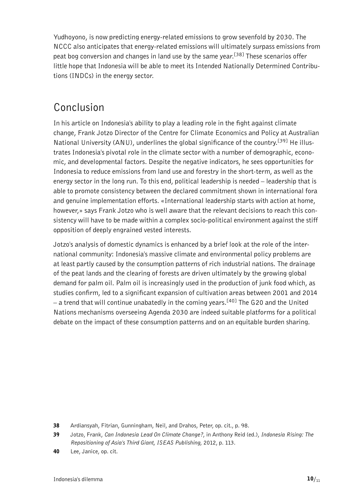<span id="page-9-0"></span>Yudhoyono, is now predicting energy-related emissions to grow sevenfold by 2030. The NCCC also anticipates that energy-related emissions will ultimately surpass emissions from peat bog conversion and changes in land use by the same year.<sup>[38]</sup> These scenarios offer little hope that Indonesia will be able to meet its Intended Nationally Determined Contributions (INDCs) in the energy sector.

#### Conclusion

In his article on Indonesia's ability to play a leading role in the fight against climate change, Frank Jotzo Director of the Centre for Climate Economics and Policy at Australian National University (ANU), underlines the global significance of the country.<sup>[39]</sup> He illustrates Indonesia's pivotal role in the climate sector with a number of demographic, economic, and developmental factors. Despite the negative indicators, he sees opportunities for Indonesia to reduce emissions from land use and forestry in the short-term, as well as the energy sector in the long run. To this end, political leadership is needed – leadership that is able to promote consistency between the declared commitment shown in international fora and genuine implementation efforts. «International leadership starts with action at home, however,» says Frank Jotzo who is well aware that the relevant decisions to reach this consistency will have to be made within a complex socio-political environment against the stiff opposition of deeply engrained vested interests.

Jotzo's analysis of domestic dynamics is enhanced by a brief look at the role of the international community: Indonesia's massive climate and environmental policy problems are at least partly caused by the consumption patterns of rich industrial nations. The drainage of the peat lands and the clearing of forests are driven ultimately by the growing global demand for palm oil. Palm oil is increasingly used in the production of junk food which, as studies confirm, led to a significant expansion of cultivation areas between 2001 and 2014 – a trend that will continue unabatedly in the coming years.<sup>[40]</sup> The G20 and the United Nations mechanisms overseeing Agenda 2030 are indeed suitable platforms for a political debate on the impact of these consumption patterns and on an equitable burden sharing.

<sup>38</sup> Ardiansyah, Fitrian, Gunningham, Neil, and Drahos, Peter, op. cit., p. 98.

<sup>39</sup> Jotzo, Frank, *Can Indonesia Lead On Climate Change?*, in Anthony Reid (ed.), *Indonesia Rising: The Repositioning of Asia's Third Giant, ISEAS Publishing*, 2012, p. 113.

<sup>40</sup> Lee, Janice, op. cit.